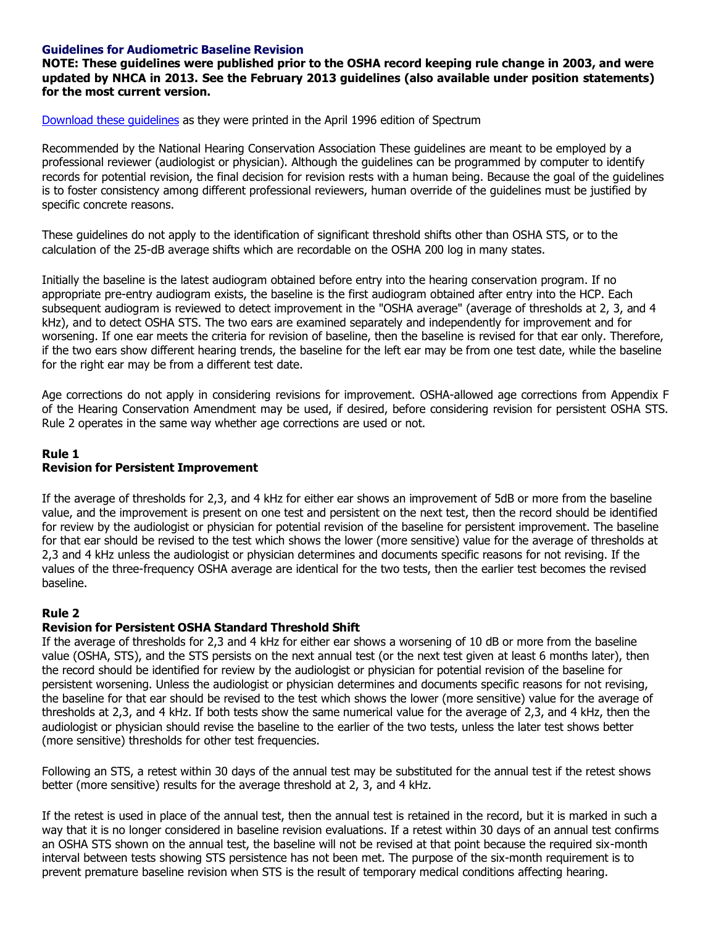## **Guidelines for Audiometric Baseline Revision**

**NOTE: These guidelines were published prior to the OSHA record keeping rule change in 2003, and were updated by NHCA in 2013. See the February 2013 guidelines (also available under position statements) for the most current version.**

[Download](https://nhc.memberclicks.net/assets/1996_Spectrum_-_April.pdf) these guidelines as they were printed in the April 1996 edition of Spectrum

Recommended by the National Hearing Conservation Association These guidelines are meant to be employed by a professional reviewer (audiologist or physician). Although the guidelines can be programmed by computer to identify records for potential revision, the final decision for revision rests with a human being. Because the goal of the guidelines is to foster consistency among different professional reviewers, human override of the guidelines must be justified by specific concrete reasons.

These guidelines do not apply to the identification of significant threshold shifts other than OSHA STS, or to the calculation of the 25-dB average shifts which are recordable on the OSHA 200 log in many states.

Initially the baseline is the latest audiogram obtained before entry into the hearing conservation program. If no appropriate pre-entry audiogram exists, the baseline is the first audiogram obtained after entry into the HCP. Each subsequent audiogram is reviewed to detect improvement in the "OSHA average" (average of thresholds at 2, 3, and 4 kHz), and to detect OSHA STS. The two ears are examined separately and independently for improvement and for worsening. If one ear meets the criteria for revision of baseline, then the baseline is revised for that ear only. Therefore, if the two ears show different hearing trends, the baseline for the left ear may be from one test date, while the baseline for the right ear may be from a different test date.

Age corrections do not apply in considering revisions for improvement. OSHA-allowed age corrections from Appendix F of the Hearing Conservation Amendment may be used, if desired, before considering revision for persistent OSHA STS. Rule 2 operates in the same way whether age corrections are used or not.

## **Rule 1 Revision for Persistent Improvement**

If the average of thresholds for 2,3, and 4 kHz for either ear shows an improvement of 5dB or more from the baseline value, and the improvement is present on one test and persistent on the next test, then the record should be identified for review by the audiologist or physician for potential revision of the baseline for persistent improvement. The baseline for that ear should be revised to the test which shows the lower (more sensitive) value for the average of thresholds at 2,3 and 4 kHz unless the audiologist or physician determines and documents specific reasons for not revising. If the values of the three-frequency OSHA average are identical for the two tests, then the earlier test becomes the revised baseline.

## **Rule 2**

## **Revision for Persistent OSHA Standard Threshold Shift**

If the average of thresholds for 2,3 and 4 kHz for either ear shows a worsening of 10 dB or more from the baseline value (OSHA, STS), and the STS persists on the next annual test (or the next test given at least 6 months later), then the record should be identified for review by the audiologist or physician for potential revision of the baseline for persistent worsening. Unless the audiologist or physician determines and documents specific reasons for not revising, the baseline for that ear should be revised to the test which shows the lower (more sensitive) value for the average of thresholds at 2,3, and 4 kHz. If both tests show the same numerical value for the average of 2,3, and 4 kHz, then the audiologist or physician should revise the baseline to the earlier of the two tests, unless the later test shows better (more sensitive) thresholds for other test frequencies.

Following an STS, a retest within 30 days of the annual test may be substituted for the annual test if the retest shows better (more sensitive) results for the average threshold at 2, 3, and 4 kHz.

If the retest is used in place of the annual test, then the annual test is retained in the record, but it is marked in such a way that it is no longer considered in baseline revision evaluations. If a retest within 30 days of an annual test confirms an OSHA STS shown on the annual test, the baseline will not be revised at that point because the required six-month interval between tests showing STS persistence has not been met. The purpose of the six-month requirement is to prevent premature baseline revision when STS is the result of temporary medical conditions affecting hearing.